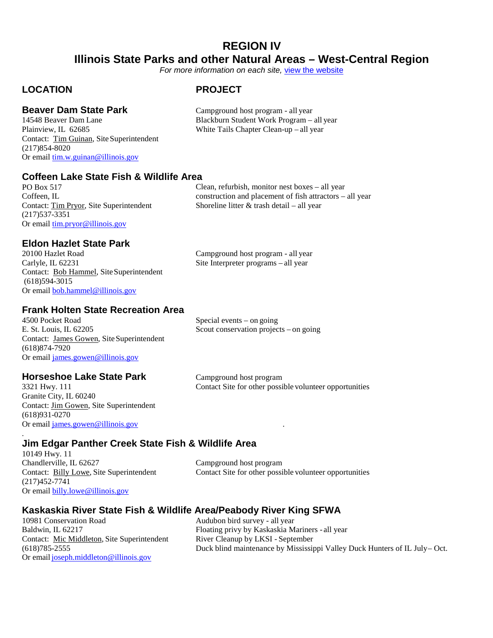## **REGION IV Illinois State Parks and other Natural Areas – West-Central Region**

*For more information on each site,* [view the website](https://www.dnr..illinois.gov/Parks/Pages/default.aspx)

Blackburn Student Work Program – all year

### **LOCATION PROJECT**

**Beaver Dam State Park** Campground host program - all year 14548 Beaver Dam Lane

Plainview, IL 62685 White Tails Chapter Clean-up – all year Contact: Tim Guinan, SiteSuperintendent (217)854-8020 Or email [tim.w.guinan@illinois.gov](mailto:tim.w.guinan@illinois.gov)

**Coffeen Lake State Fish & Wildlife Area**

PO Box 517 Coffeen, IL Contact: Tim Pryor, Site Superintendent (217)537-3351 Or email [tim.pryor@illinois.gov](mailto:brad.tedrick@illinois.gov)

Clean, refurbish, monitor nest boxes – all year construction and placement of fish attractors – all year Shoreline litter & trash detail – all year

# **Eldon Hazlet State Park**

20100 Hazlet Road Campground host program - all year<br>Carlyle, IL 62231 Site Interpreter programs - all year Contact: Bob Hammel, SiteSuperintendent (618)594-3015 Or email bob.hammel@illinois.gov

Site Interpreter programs – all year

### **Frank Holten State Recreation Area**

4500 Pocket Road Special events – on going E. St. Louis, IL 62205 Scout conservation projects – on going Contact: James Gowen, Site Superintendent (618)874-7920 Or email [james.gowen@illinois.gov](mailto:james.gowen@illinois.gov)

Granite City, IL 60240 Contact: Jim Gowen, Site Superintendent (618)931-0270 Or email [james.gowen@illinois.gov](mailto:james.gowen@illinois.gov) .

.

**Horseshoe Lake State Park** Campground host program<br>3321 Hwy. 111 Contact Site for other possi Contact Site for other possible volunteer opportunities

### **Jim Edgar Panther Creek State Fish & Wildlife Area**

10149 Hwy. 11 Chandlerville, IL 62627 Campground host program (217)452-7741 Or email [billy.lowe@illinois.gov](mailto:billy.lowe@illinois.gov)

Contact: Billy Lowe, Site Superintendent Contact Site for other possible volunteer opportunities

# **Kaskaskia River State Fish & Wildlife Area/Peabody River King SFWA**

Contact: Mic Middleton, Site Superintendent Or email [joseph.middleton@illinois.gov](mailto:joseph.middleton@illinois.gov)

Audubon bird survey - all year Baldwin, IL 62217 Floating privy by Kaskaskia Mariners - all year<br>Contact: Mic Middleton, Site Superintendent River Cleanup by LKSI - September (618)785-2555 Duck blind maintenance by Mississippi Valley Duck Hunters of IL July– Oct.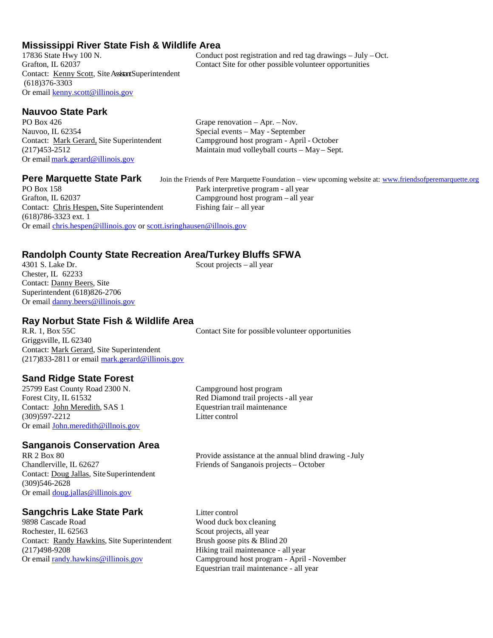# **Mississippi River State Fish & Wildlife Area**

Contact: Kenny Scott, Site Assistant Superintendent (618)376-3303 Or email [kenny.scott@illinois.gov](mailto:kenny.scott@illinois.gov)

### **Nauvoo State Park**

PO Box 426 Grape renovation – Apr. – Nov. Nauvoo, IL 62354 Special events – May - September Or email [mark.gerard@illinois.gov](mailto:mark.gerard@illinois.gov)

Grafton, IL 62037 Campground host program – all year Contact: Chris Hespen, Site Superintendent Fishing fair – all year (618)786-3323 ext. 1 Or email [chris.hespen@illinois.gov](mailto:chris.hespen@illinois.gov) o[r scott.isringhausen@illnois.gov](mailto:scott.isringhausen@illnois.gov)

#### **Randolph County State Recreation Area/Turkey Bluffs SFWA**<br>4301 S. Lake Dr. **Scout projects – all vear** Scout projects – all year

Chester, IL 62233 Contact: Danny Beers, Site Superintendent (618)826-2706 Or email [danny.beers@illinois.gov](mailto:danny.beers@illinois.gov)

# **Ray Norbut State Fish & Wildlife Area**

Griggsville, IL 62340 Contact: Mark Gerard, Site Superintendent (217)833-2811 or email [mark.gerard@illinois.gov](mailto:mark.gerard@illinois.gov)

### **Sand Ridge State Forest**

25799 East County Road 2300 N. Campground host program Contact: John Meredith, SAS 1 (309)597-2212 Litter control Or email [John.meredith@illnois.gov](mailto:John.meredith@illnois.gov)

## **Sanganois Conservation Area**<br>RR 2 Box 80

Contact: Doug Jallas, Site Superintendent (309)546-2628 Or email [doug.jallas@illinois.gov](mailto:doug.jallas@illinois.gov)

#### **Sangchris Lake State Park** Litter control

9898 Cascade Road Wood duck box cleaning Rochester, IL 62563 Scout projects, all year Contact: Randy Hawkins, Site Superintendent Brush goose pits & Blind 20 (217)498-9208 Hiking trail maintenance - all year Or email [randy.hawkins@illinois.gov](mailto:randy.hawkins@illinois.gov) Campground host program - April - November

Forest City, IL 61532 Red Diamond trail projects - all year<br>Contact: John Meredith, SAS 1 Equestrian trail maintenance

RR 2 Box 80 Provide assistance at the annual blind drawing -July<br>Chandlerville, IL 62627 Friends of Sanganois projects – October Friends of Sanganois projects – October

Equestrian trail maintenance - all year

17836 State Hwy 100 N. Conduct post registration and red tag drawings – July – Oct.<br>
Contact Site for other possible volunteer opportunities Contact Site for other possible volunteer opportunities

Contact: Mark Gerard, Site Superintendent Campground host program - April - October (217)453-2512 Maintain mud volleyball courts – May – Sept.

**Pere Marquette State Park** Join the Friends of Pere Marquette Foundation – view upcoming website at: [www.friendsofperemarquette.org](http://www.friendsofperemarquette.org/)<br>PO Box 158 Park interpretive program - all year

Contact Site for possible volunteer opportunities